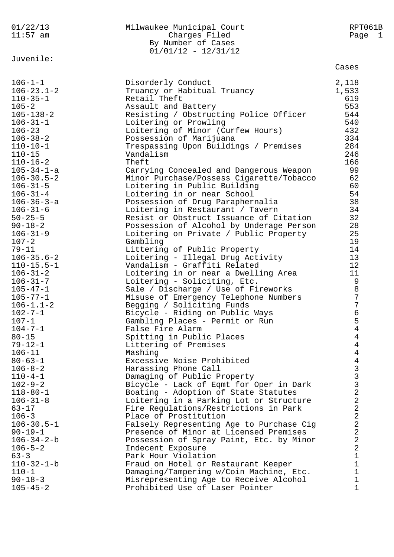| 01/22/13<br>$11:57$ am          | Milwaukee Municipal Court<br>Charges Filed<br>By Number of Cases<br>$01/01/12 - 12/31/12$ | RPT061B<br>Page 1                            |
|---------------------------------|-------------------------------------------------------------------------------------------|----------------------------------------------|
| Juvenile:                       |                                                                                           | Cases                                        |
| $106 - 1 - 1$                   | Disorderly Conduct                                                                        | 2,118                                        |
| $106 - 23.1 - 2$                | Truancy or Habitual Truancy                                                               | 1,533                                        |
| $110 - 35 - 1$                  | Retail Theft                                                                              | 619                                          |
| $105 - 2$                       | Assault and Battery                                                                       | 553                                          |
| $105 - 138 - 2$                 | Resisting / Obstructing Police Officer                                                    | 544                                          |
| $106 - 31 - 1$<br>$106 - 23$    | Loitering or Prowling                                                                     | 540<br>432                                   |
| $106 - 38 - 2$                  | Loitering of Minor (Curfew Hours)<br>Possession of Marijuana                              | 334                                          |
| $110 - 10 - 1$                  | Trespassing Upon Buildings / Premises                                                     | 284                                          |
| $110 - 15$                      | Vandalism                                                                                 | 246                                          |
| $110 - 16 - 2$                  | Theft                                                                                     | 166                                          |
| $105 - 34 - 1 - a$              | Carrying Concealed and Dangerous Weapon                                                   | 99                                           |
| $106 - 30.5 - 2$                | Minor Purchase/Possess Cigarette/Tobacco                                                  | 62                                           |
| $106 - 31 - 5$                  | Loitering in Public Building                                                              | 60                                           |
| $106 - 31 - 4$                  | Loitering in or near School                                                               | 54                                           |
| $106 - 36 - 3 - a$              | Possession of Drug Paraphernalia                                                          | 38                                           |
| $106 - 31 - 6$                  | Loitering in Restaurant / Tavern                                                          | 34                                           |
| $50 - 25 - 5$                   | Resist or Obstruct Issuance of Citation                                                   | 32                                           |
| $90 - 18 - 2$<br>$106 - 31 - 9$ | Possession of Alcohol by Underage Person<br>Loitering on Private / Public Property        | 28<br>25                                     |
| $107 - 2$                       | Gambling                                                                                  | 19                                           |
| $79 - 11$                       | Littering of Public Property                                                              | 14                                           |
| $106 - 35.6 - 2$                | Loitering - Illegal Drug Activity                                                         | 13                                           |
| $110 - 15.5 - 1$                | Vandalism - Graffiti Related                                                              | 12                                           |
| $106 - 31 - 2$                  | Loitering in or near a Dwelling Area                                                      | 11                                           |
| $106 - 31 - 7$                  | Loitering - Soliciting, Etc.                                                              | 9                                            |
| $105 - 47 - 1$                  | Sale / Discharge / Use of Fireworks                                                       | $\,8\,$                                      |
| $105 - 77 - 1$                  | Misuse of Emergency Telephone Numbers                                                     | 7                                            |
| $106 - 1.1 - 2$                 | Begging / Soliciting Funds                                                                | 7                                            |
| $102 - 7 - 1$<br>$107 - 1$      | Bicycle - Riding on Public Ways                                                           | 6                                            |
| $104 - 7 - 1$                   | Gambling Places - Permit or Run<br>False Fire Alarm                                       | 5<br>4                                       |
| $80 - 15$                       | Spitting in Public Places                                                                 | 4                                            |
| $79 - 12 - 1$                   | Littering of Premises                                                                     | $\overline{4}$                               |
| $106 - 11$                      | Mashing                                                                                   | $\overline{4}$                               |
| $80 - 63 - 1$                   | Excessive Noise Prohibited                                                                | 4                                            |
| $106 - 8 - 2$                   | Harassing Phone Call                                                                      |                                              |
| $110 - 4 - 1$                   | Damaging of Public Property                                                               | $\begin{array}{c}\n3 \\ 3 \\ 2\n\end{array}$ |
| $102 - 9 - 2$                   | Bicycle - Lack of Eqmt for Oper in Dark                                                   |                                              |
| $118 - 80 - 1$                  | Boating - Adoption of State Statutes                                                      |                                              |
| $106 - 31 - 8$<br>$63 - 17$     | Loitering in a Parking Lot or Structure<br>Fire Regulations/Restrictions in Park          | $\overline{2}$<br>$\overline{2}$             |
| $106 - 3$                       | Place of Prostitution                                                                     | $\overline{2}$                               |
| $106 - 30.5 - 1$                | Falsely Representing Age to Purchase Cig                                                  | $\overline{2}$                               |
| $90 - 19 - 1$                   | Presence of Minor at Licensed Premises                                                    | 2                                            |
| $106 - 34 - 2 - b$              | Possession of Spray Paint, Etc. by Minor                                                  | $\overline{2}$                               |
| $106 - 5 - 2$                   | Indecent Exposure                                                                         | 2                                            |
| $63 - 3$                        | Park Hour Violation                                                                       | 1                                            |
| $110 - 32 - 1 - b$              | Fraud on Hotel or Restaurant Keeper                                                       | 1                                            |
| $110 - 1$                       | Damaging/Tampering w/Coin Machine, Etc.                                                   | 1                                            |
| $90 - 18 - 3$                   | Misrepresenting Age to Receive Alcohol                                                    | 1                                            |
| $105 - 45 - 2$                  | Prohibited Use of Laser Pointer                                                           | 1                                            |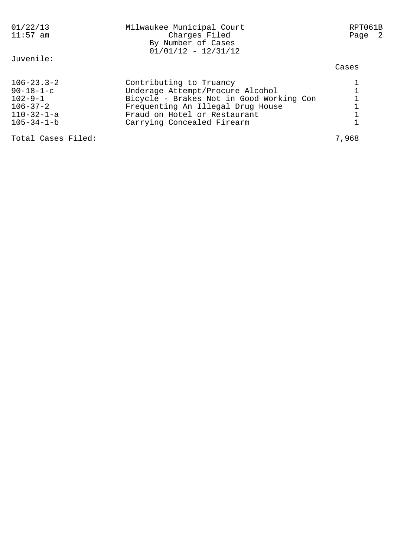| 01/22/13<br>$11:57$ am                                                                                               | Milwaukee Municipal Court<br>Charges Filed<br>By Number of Cases<br>$01/01/12 - 12/31/12$                                                                                                                  | RPT061B<br>Page 2 |
|----------------------------------------------------------------------------------------------------------------------|------------------------------------------------------------------------------------------------------------------------------------------------------------------------------------------------------------|-------------------|
| Juvenile:                                                                                                            |                                                                                                                                                                                                            | Cases             |
| $106 - 23.3 - 2$<br>$90 - 18 - 1 - c$<br>$102 - 9 - 1$<br>$106 - 37 - 2$<br>$110 - 32 - 1 - a$<br>$105 - 34 - 1 - b$ | Contributing to Truancy<br>Underage Attempt/Procure Alcohol<br>Bicycle - Brakes Not in Good Working Con<br>Frequenting An Illegal Drug House<br>Fraud on Hotel or Restaurant<br>Carrying Concealed Firearm |                   |
| Total Cases Filed:                                                                                                   |                                                                                                                                                                                                            | 7,968             |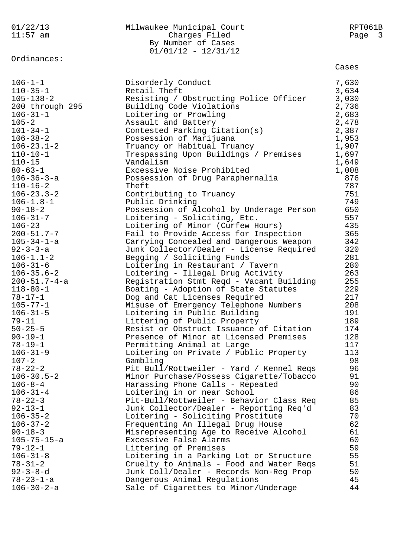| By Number of Cases<br>$01/01/12 - 12/31/12$<br>Ordinances:<br>Cases<br>$106 - 1 - 1$<br>7,630<br>Disorderly Conduct<br>Retail Theft<br>$110 - 35 - 1$<br>3,634<br>$105 - 138 - 2$<br>Resisting / Obstructing Police Officer<br>3,030<br>200 through 295<br>2,736<br>Building Code Violations<br>2,683<br>$106 - 31 - 1$<br>Loitering or Prowling<br>$105 - 2$<br>Assault and Battery<br>2,478<br>$101 - 34 - 1$<br>Contested Parking Citation(s)<br>2,387<br>$106 - 38 - 2$<br>1,953<br>Possession of Marijuana<br>1,907<br>$106 - 23.1 - 2$<br>Truancy or Habitual Truancy<br>$110 - 10 - 1$<br>Trespassing Upon Buildings / Premises<br>1,697<br>Vandalism<br>$110 - 15$<br>1,649<br>$80 - 63 - 1$<br>Excessive Noise Prohibited<br>1,008<br>876<br>$106 - 36 - 3 - a$<br>Possession of Drug Paraphernalia<br>787<br>Theft<br>$110 - 16 - 2$<br>751<br>$106 - 23.3 - 2$<br>Contributing to Truancy<br>749<br>$106 - 1.8 - 1$<br>Public Drinking<br>Possession of Alcohol by Underage Person<br>650<br>$90 - 18 - 2$<br>$106 - 31 - 7$<br>Loitering - Soliciting, Etc.<br>557<br>$106 - 23$<br>Loitering of Minor (Curfew Hours)<br>435<br>365<br>$200 - 51.7 - 7$<br>Fail to Provide Access for Inspection<br>$105 - 34 - 1 - a$<br>342<br>Carrying Concealed and Dangerous Weapon<br>320<br>$92 - 3 - 3 - a$<br>Junk Collector/Dealer - License Required<br>281<br>$106 - 1.1 - 2$<br>Begging / Soliciting Funds<br>280<br>$106 - 31 - 6$<br>Loitering in Restaurant / Tavern<br>263<br>$106 - 35.6 - 2$<br>Loitering - Illegal Drug Activity<br>255<br>$200 - 51.7 - 4 - a$<br>Registration Stmt Reqd - Vacant Building<br>229<br>$118 - 80 - 1$<br>Boating - Adoption of State Statutes<br>217<br>$78 - 17 - 1$<br>Dog and Cat Licenses Required<br>208<br>$105 - 77 - 1$<br>Misuse of Emergency Telephone Numbers<br>$106 - 31 - 5$<br>Loitering in Public Building<br>191<br>189<br>Littering of Public Property<br>$79 - 11$<br>$50 - 25 - 5$<br>174<br>Resist or Obstruct Issuance of Citation<br>$90 - 19 - 1$<br>Presence of Minor at Licensed Premises<br>128<br>$78 - 19 - 1$<br>Permitting Animal at Large<br>117<br>$106 - 31 - 9$<br>Loitering on Private / Public Property<br>113<br>$107 - 2$<br>98<br>Gambling<br>$78 - 22 - 2$<br>96<br>Pit Bull/Rottweiler - Yard / Kennel Reqs<br>$106 - 30.5 - 2$<br>91<br>Minor Purchase/Possess Cigarette/Tobacco<br>90<br>$106 - 8 - 4$<br>Harassing Phone Calls - Repeated<br>86<br>$106 - 31 - 4$<br>Loitering in or near School<br>85<br>$78 - 22 - 3$<br>Pit-Bull/Rottweiler - Behavior Class Req<br>83<br>$92 - 13 - 1$<br>Junk Collector/Dealer - Reporting Req'd<br>$106 - 35 - 2$<br>Loitering - Soliciting Prostitute<br>70<br>62<br>$106 - 37 - 2$<br>Frequenting An Illegal Drug House<br>$90 - 18 - 3$<br>Misrepresenting Age to Receive Alcohol<br>61<br>$105 - 75 - 15 - a$<br>Excessive False Alarms<br>60<br>59<br>$79 - 12 - 1$<br>Littering of Premises<br>55<br>$106 - 31 - 8$<br>Loitering in a Parking Lot or Structure<br>$78 - 31 - 2$<br>Cruelty to Animals - Food and Water Reqs<br>51<br>$92 - 3 - 8 - d$<br>50<br>Junk Coll/Dealer - Records Non-Reg Prop<br>$78 - 23 - 1 - a$<br>Dangerous Animal Regulations<br>45<br>$106 - 30 - 2 - a$<br>Sale of Cigarettes to Minor/Underage<br>44 | 01/22/13   | Milwaukee Municipal Court | RPT061B |
|-------------------------------------------------------------------------------------------------------------------------------------------------------------------------------------------------------------------------------------------------------------------------------------------------------------------------------------------------------------------------------------------------------------------------------------------------------------------------------------------------------------------------------------------------------------------------------------------------------------------------------------------------------------------------------------------------------------------------------------------------------------------------------------------------------------------------------------------------------------------------------------------------------------------------------------------------------------------------------------------------------------------------------------------------------------------------------------------------------------------------------------------------------------------------------------------------------------------------------------------------------------------------------------------------------------------------------------------------------------------------------------------------------------------------------------------------------------------------------------------------------------------------------------------------------------------------------------------------------------------------------------------------------------------------------------------------------------------------------------------------------------------------------------------------------------------------------------------------------------------------------------------------------------------------------------------------------------------------------------------------------------------------------------------------------------------------------------------------------------------------------------------------------------------------------------------------------------------------------------------------------------------------------------------------------------------------------------------------------------------------------------------------------------------------------------------------------------------------------------------------------------------------------------------------------------------------------------------------------------------------------------------------------------------------------------------------------------------------------------------------------------------------------------------------------------------------------------------------------------------------------------------------------------------------------------------------------------------------------------------------------------------------------------------------------------------------------------------------------------------------------------------------------------------------------------------------------------------------------------------------------------------------------|------------|---------------------------|---------|
|                                                                                                                                                                                                                                                                                                                                                                                                                                                                                                                                                                                                                                                                                                                                                                                                                                                                                                                                                                                                                                                                                                                                                                                                                                                                                                                                                                                                                                                                                                                                                                                                                                                                                                                                                                                                                                                                                                                                                                                                                                                                                                                                                                                                                                                                                                                                                                                                                                                                                                                                                                                                                                                                                                                                                                                                                                                                                                                                                                                                                                                                                                                                                                                                                                                                               | $11:57$ am | Charges Filed             | Page 3  |
|                                                                                                                                                                                                                                                                                                                                                                                                                                                                                                                                                                                                                                                                                                                                                                                                                                                                                                                                                                                                                                                                                                                                                                                                                                                                                                                                                                                                                                                                                                                                                                                                                                                                                                                                                                                                                                                                                                                                                                                                                                                                                                                                                                                                                                                                                                                                                                                                                                                                                                                                                                                                                                                                                                                                                                                                                                                                                                                                                                                                                                                                                                                                                                                                                                                                               |            |                           |         |
|                                                                                                                                                                                                                                                                                                                                                                                                                                                                                                                                                                                                                                                                                                                                                                                                                                                                                                                                                                                                                                                                                                                                                                                                                                                                                                                                                                                                                                                                                                                                                                                                                                                                                                                                                                                                                                                                                                                                                                                                                                                                                                                                                                                                                                                                                                                                                                                                                                                                                                                                                                                                                                                                                                                                                                                                                                                                                                                                                                                                                                                                                                                                                                                                                                                                               |            |                           |         |
|                                                                                                                                                                                                                                                                                                                                                                                                                                                                                                                                                                                                                                                                                                                                                                                                                                                                                                                                                                                                                                                                                                                                                                                                                                                                                                                                                                                                                                                                                                                                                                                                                                                                                                                                                                                                                                                                                                                                                                                                                                                                                                                                                                                                                                                                                                                                                                                                                                                                                                                                                                                                                                                                                                                                                                                                                                                                                                                                                                                                                                                                                                                                                                                                                                                                               |            |                           |         |
|                                                                                                                                                                                                                                                                                                                                                                                                                                                                                                                                                                                                                                                                                                                                                                                                                                                                                                                                                                                                                                                                                                                                                                                                                                                                                                                                                                                                                                                                                                                                                                                                                                                                                                                                                                                                                                                                                                                                                                                                                                                                                                                                                                                                                                                                                                                                                                                                                                                                                                                                                                                                                                                                                                                                                                                                                                                                                                                                                                                                                                                                                                                                                                                                                                                                               |            |                           |         |
|                                                                                                                                                                                                                                                                                                                                                                                                                                                                                                                                                                                                                                                                                                                                                                                                                                                                                                                                                                                                                                                                                                                                                                                                                                                                                                                                                                                                                                                                                                                                                                                                                                                                                                                                                                                                                                                                                                                                                                                                                                                                                                                                                                                                                                                                                                                                                                                                                                                                                                                                                                                                                                                                                                                                                                                                                                                                                                                                                                                                                                                                                                                                                                                                                                                                               |            |                           |         |
|                                                                                                                                                                                                                                                                                                                                                                                                                                                                                                                                                                                                                                                                                                                                                                                                                                                                                                                                                                                                                                                                                                                                                                                                                                                                                                                                                                                                                                                                                                                                                                                                                                                                                                                                                                                                                                                                                                                                                                                                                                                                                                                                                                                                                                                                                                                                                                                                                                                                                                                                                                                                                                                                                                                                                                                                                                                                                                                                                                                                                                                                                                                                                                                                                                                                               |            |                           |         |
|                                                                                                                                                                                                                                                                                                                                                                                                                                                                                                                                                                                                                                                                                                                                                                                                                                                                                                                                                                                                                                                                                                                                                                                                                                                                                                                                                                                                                                                                                                                                                                                                                                                                                                                                                                                                                                                                                                                                                                                                                                                                                                                                                                                                                                                                                                                                                                                                                                                                                                                                                                                                                                                                                                                                                                                                                                                                                                                                                                                                                                                                                                                                                                                                                                                                               |            |                           |         |
|                                                                                                                                                                                                                                                                                                                                                                                                                                                                                                                                                                                                                                                                                                                                                                                                                                                                                                                                                                                                                                                                                                                                                                                                                                                                                                                                                                                                                                                                                                                                                                                                                                                                                                                                                                                                                                                                                                                                                                                                                                                                                                                                                                                                                                                                                                                                                                                                                                                                                                                                                                                                                                                                                                                                                                                                                                                                                                                                                                                                                                                                                                                                                                                                                                                                               |            |                           |         |
|                                                                                                                                                                                                                                                                                                                                                                                                                                                                                                                                                                                                                                                                                                                                                                                                                                                                                                                                                                                                                                                                                                                                                                                                                                                                                                                                                                                                                                                                                                                                                                                                                                                                                                                                                                                                                                                                                                                                                                                                                                                                                                                                                                                                                                                                                                                                                                                                                                                                                                                                                                                                                                                                                                                                                                                                                                                                                                                                                                                                                                                                                                                                                                                                                                                                               |            |                           |         |
|                                                                                                                                                                                                                                                                                                                                                                                                                                                                                                                                                                                                                                                                                                                                                                                                                                                                                                                                                                                                                                                                                                                                                                                                                                                                                                                                                                                                                                                                                                                                                                                                                                                                                                                                                                                                                                                                                                                                                                                                                                                                                                                                                                                                                                                                                                                                                                                                                                                                                                                                                                                                                                                                                                                                                                                                                                                                                                                                                                                                                                                                                                                                                                                                                                                                               |            |                           |         |
|                                                                                                                                                                                                                                                                                                                                                                                                                                                                                                                                                                                                                                                                                                                                                                                                                                                                                                                                                                                                                                                                                                                                                                                                                                                                                                                                                                                                                                                                                                                                                                                                                                                                                                                                                                                                                                                                                                                                                                                                                                                                                                                                                                                                                                                                                                                                                                                                                                                                                                                                                                                                                                                                                                                                                                                                                                                                                                                                                                                                                                                                                                                                                                                                                                                                               |            |                           |         |
|                                                                                                                                                                                                                                                                                                                                                                                                                                                                                                                                                                                                                                                                                                                                                                                                                                                                                                                                                                                                                                                                                                                                                                                                                                                                                                                                                                                                                                                                                                                                                                                                                                                                                                                                                                                                                                                                                                                                                                                                                                                                                                                                                                                                                                                                                                                                                                                                                                                                                                                                                                                                                                                                                                                                                                                                                                                                                                                                                                                                                                                                                                                                                                                                                                                                               |            |                           |         |
|                                                                                                                                                                                                                                                                                                                                                                                                                                                                                                                                                                                                                                                                                                                                                                                                                                                                                                                                                                                                                                                                                                                                                                                                                                                                                                                                                                                                                                                                                                                                                                                                                                                                                                                                                                                                                                                                                                                                                                                                                                                                                                                                                                                                                                                                                                                                                                                                                                                                                                                                                                                                                                                                                                                                                                                                                                                                                                                                                                                                                                                                                                                                                                                                                                                                               |            |                           |         |
|                                                                                                                                                                                                                                                                                                                                                                                                                                                                                                                                                                                                                                                                                                                                                                                                                                                                                                                                                                                                                                                                                                                                                                                                                                                                                                                                                                                                                                                                                                                                                                                                                                                                                                                                                                                                                                                                                                                                                                                                                                                                                                                                                                                                                                                                                                                                                                                                                                                                                                                                                                                                                                                                                                                                                                                                                                                                                                                                                                                                                                                                                                                                                                                                                                                                               |            |                           |         |
|                                                                                                                                                                                                                                                                                                                                                                                                                                                                                                                                                                                                                                                                                                                                                                                                                                                                                                                                                                                                                                                                                                                                                                                                                                                                                                                                                                                                                                                                                                                                                                                                                                                                                                                                                                                                                                                                                                                                                                                                                                                                                                                                                                                                                                                                                                                                                                                                                                                                                                                                                                                                                                                                                                                                                                                                                                                                                                                                                                                                                                                                                                                                                                                                                                                                               |            |                           |         |
|                                                                                                                                                                                                                                                                                                                                                                                                                                                                                                                                                                                                                                                                                                                                                                                                                                                                                                                                                                                                                                                                                                                                                                                                                                                                                                                                                                                                                                                                                                                                                                                                                                                                                                                                                                                                                                                                                                                                                                                                                                                                                                                                                                                                                                                                                                                                                                                                                                                                                                                                                                                                                                                                                                                                                                                                                                                                                                                                                                                                                                                                                                                                                                                                                                                                               |            |                           |         |
|                                                                                                                                                                                                                                                                                                                                                                                                                                                                                                                                                                                                                                                                                                                                                                                                                                                                                                                                                                                                                                                                                                                                                                                                                                                                                                                                                                                                                                                                                                                                                                                                                                                                                                                                                                                                                                                                                                                                                                                                                                                                                                                                                                                                                                                                                                                                                                                                                                                                                                                                                                                                                                                                                                                                                                                                                                                                                                                                                                                                                                                                                                                                                                                                                                                                               |            |                           |         |
|                                                                                                                                                                                                                                                                                                                                                                                                                                                                                                                                                                                                                                                                                                                                                                                                                                                                                                                                                                                                                                                                                                                                                                                                                                                                                                                                                                                                                                                                                                                                                                                                                                                                                                                                                                                                                                                                                                                                                                                                                                                                                                                                                                                                                                                                                                                                                                                                                                                                                                                                                                                                                                                                                                                                                                                                                                                                                                                                                                                                                                                                                                                                                                                                                                                                               |            |                           |         |
|                                                                                                                                                                                                                                                                                                                                                                                                                                                                                                                                                                                                                                                                                                                                                                                                                                                                                                                                                                                                                                                                                                                                                                                                                                                                                                                                                                                                                                                                                                                                                                                                                                                                                                                                                                                                                                                                                                                                                                                                                                                                                                                                                                                                                                                                                                                                                                                                                                                                                                                                                                                                                                                                                                                                                                                                                                                                                                                                                                                                                                                                                                                                                                                                                                                                               |            |                           |         |
|                                                                                                                                                                                                                                                                                                                                                                                                                                                                                                                                                                                                                                                                                                                                                                                                                                                                                                                                                                                                                                                                                                                                                                                                                                                                                                                                                                                                                                                                                                                                                                                                                                                                                                                                                                                                                                                                                                                                                                                                                                                                                                                                                                                                                                                                                                                                                                                                                                                                                                                                                                                                                                                                                                                                                                                                                                                                                                                                                                                                                                                                                                                                                                                                                                                                               |            |                           |         |
|                                                                                                                                                                                                                                                                                                                                                                                                                                                                                                                                                                                                                                                                                                                                                                                                                                                                                                                                                                                                                                                                                                                                                                                                                                                                                                                                                                                                                                                                                                                                                                                                                                                                                                                                                                                                                                                                                                                                                                                                                                                                                                                                                                                                                                                                                                                                                                                                                                                                                                                                                                                                                                                                                                                                                                                                                                                                                                                                                                                                                                                                                                                                                                                                                                                                               |            |                           |         |
|                                                                                                                                                                                                                                                                                                                                                                                                                                                                                                                                                                                                                                                                                                                                                                                                                                                                                                                                                                                                                                                                                                                                                                                                                                                                                                                                                                                                                                                                                                                                                                                                                                                                                                                                                                                                                                                                                                                                                                                                                                                                                                                                                                                                                                                                                                                                                                                                                                                                                                                                                                                                                                                                                                                                                                                                                                                                                                                                                                                                                                                                                                                                                                                                                                                                               |            |                           |         |
|                                                                                                                                                                                                                                                                                                                                                                                                                                                                                                                                                                                                                                                                                                                                                                                                                                                                                                                                                                                                                                                                                                                                                                                                                                                                                                                                                                                                                                                                                                                                                                                                                                                                                                                                                                                                                                                                                                                                                                                                                                                                                                                                                                                                                                                                                                                                                                                                                                                                                                                                                                                                                                                                                                                                                                                                                                                                                                                                                                                                                                                                                                                                                                                                                                                                               |            |                           |         |
|                                                                                                                                                                                                                                                                                                                                                                                                                                                                                                                                                                                                                                                                                                                                                                                                                                                                                                                                                                                                                                                                                                                                                                                                                                                                                                                                                                                                                                                                                                                                                                                                                                                                                                                                                                                                                                                                                                                                                                                                                                                                                                                                                                                                                                                                                                                                                                                                                                                                                                                                                                                                                                                                                                                                                                                                                                                                                                                                                                                                                                                                                                                                                                                                                                                                               |            |                           |         |
|                                                                                                                                                                                                                                                                                                                                                                                                                                                                                                                                                                                                                                                                                                                                                                                                                                                                                                                                                                                                                                                                                                                                                                                                                                                                                                                                                                                                                                                                                                                                                                                                                                                                                                                                                                                                                                                                                                                                                                                                                                                                                                                                                                                                                                                                                                                                                                                                                                                                                                                                                                                                                                                                                                                                                                                                                                                                                                                                                                                                                                                                                                                                                                                                                                                                               |            |                           |         |
|                                                                                                                                                                                                                                                                                                                                                                                                                                                                                                                                                                                                                                                                                                                                                                                                                                                                                                                                                                                                                                                                                                                                                                                                                                                                                                                                                                                                                                                                                                                                                                                                                                                                                                                                                                                                                                                                                                                                                                                                                                                                                                                                                                                                                                                                                                                                                                                                                                                                                                                                                                                                                                                                                                                                                                                                                                                                                                                                                                                                                                                                                                                                                                                                                                                                               |            |                           |         |
|                                                                                                                                                                                                                                                                                                                                                                                                                                                                                                                                                                                                                                                                                                                                                                                                                                                                                                                                                                                                                                                                                                                                                                                                                                                                                                                                                                                                                                                                                                                                                                                                                                                                                                                                                                                                                                                                                                                                                                                                                                                                                                                                                                                                                                                                                                                                                                                                                                                                                                                                                                                                                                                                                                                                                                                                                                                                                                                                                                                                                                                                                                                                                                                                                                                                               |            |                           |         |
|                                                                                                                                                                                                                                                                                                                                                                                                                                                                                                                                                                                                                                                                                                                                                                                                                                                                                                                                                                                                                                                                                                                                                                                                                                                                                                                                                                                                                                                                                                                                                                                                                                                                                                                                                                                                                                                                                                                                                                                                                                                                                                                                                                                                                                                                                                                                                                                                                                                                                                                                                                                                                                                                                                                                                                                                                                                                                                                                                                                                                                                                                                                                                                                                                                                                               |            |                           |         |
|                                                                                                                                                                                                                                                                                                                                                                                                                                                                                                                                                                                                                                                                                                                                                                                                                                                                                                                                                                                                                                                                                                                                                                                                                                                                                                                                                                                                                                                                                                                                                                                                                                                                                                                                                                                                                                                                                                                                                                                                                                                                                                                                                                                                                                                                                                                                                                                                                                                                                                                                                                                                                                                                                                                                                                                                                                                                                                                                                                                                                                                                                                                                                                                                                                                                               |            |                           |         |
|                                                                                                                                                                                                                                                                                                                                                                                                                                                                                                                                                                                                                                                                                                                                                                                                                                                                                                                                                                                                                                                                                                                                                                                                                                                                                                                                                                                                                                                                                                                                                                                                                                                                                                                                                                                                                                                                                                                                                                                                                                                                                                                                                                                                                                                                                                                                                                                                                                                                                                                                                                                                                                                                                                                                                                                                                                                                                                                                                                                                                                                                                                                                                                                                                                                                               |            |                           |         |
|                                                                                                                                                                                                                                                                                                                                                                                                                                                                                                                                                                                                                                                                                                                                                                                                                                                                                                                                                                                                                                                                                                                                                                                                                                                                                                                                                                                                                                                                                                                                                                                                                                                                                                                                                                                                                                                                                                                                                                                                                                                                                                                                                                                                                                                                                                                                                                                                                                                                                                                                                                                                                                                                                                                                                                                                                                                                                                                                                                                                                                                                                                                                                                                                                                                                               |            |                           |         |
|                                                                                                                                                                                                                                                                                                                                                                                                                                                                                                                                                                                                                                                                                                                                                                                                                                                                                                                                                                                                                                                                                                                                                                                                                                                                                                                                                                                                                                                                                                                                                                                                                                                                                                                                                                                                                                                                                                                                                                                                                                                                                                                                                                                                                                                                                                                                                                                                                                                                                                                                                                                                                                                                                                                                                                                                                                                                                                                                                                                                                                                                                                                                                                                                                                                                               |            |                           |         |
|                                                                                                                                                                                                                                                                                                                                                                                                                                                                                                                                                                                                                                                                                                                                                                                                                                                                                                                                                                                                                                                                                                                                                                                                                                                                                                                                                                                                                                                                                                                                                                                                                                                                                                                                                                                                                                                                                                                                                                                                                                                                                                                                                                                                                                                                                                                                                                                                                                                                                                                                                                                                                                                                                                                                                                                                                                                                                                                                                                                                                                                                                                                                                                                                                                                                               |            |                           |         |
|                                                                                                                                                                                                                                                                                                                                                                                                                                                                                                                                                                                                                                                                                                                                                                                                                                                                                                                                                                                                                                                                                                                                                                                                                                                                                                                                                                                                                                                                                                                                                                                                                                                                                                                                                                                                                                                                                                                                                                                                                                                                                                                                                                                                                                                                                                                                                                                                                                                                                                                                                                                                                                                                                                                                                                                                                                                                                                                                                                                                                                                                                                                                                                                                                                                                               |            |                           |         |
|                                                                                                                                                                                                                                                                                                                                                                                                                                                                                                                                                                                                                                                                                                                                                                                                                                                                                                                                                                                                                                                                                                                                                                                                                                                                                                                                                                                                                                                                                                                                                                                                                                                                                                                                                                                                                                                                                                                                                                                                                                                                                                                                                                                                                                                                                                                                                                                                                                                                                                                                                                                                                                                                                                                                                                                                                                                                                                                                                                                                                                                                                                                                                                                                                                                                               |            |                           |         |
|                                                                                                                                                                                                                                                                                                                                                                                                                                                                                                                                                                                                                                                                                                                                                                                                                                                                                                                                                                                                                                                                                                                                                                                                                                                                                                                                                                                                                                                                                                                                                                                                                                                                                                                                                                                                                                                                                                                                                                                                                                                                                                                                                                                                                                                                                                                                                                                                                                                                                                                                                                                                                                                                                                                                                                                                                                                                                                                                                                                                                                                                                                                                                                                                                                                                               |            |                           |         |
|                                                                                                                                                                                                                                                                                                                                                                                                                                                                                                                                                                                                                                                                                                                                                                                                                                                                                                                                                                                                                                                                                                                                                                                                                                                                                                                                                                                                                                                                                                                                                                                                                                                                                                                                                                                                                                                                                                                                                                                                                                                                                                                                                                                                                                                                                                                                                                                                                                                                                                                                                                                                                                                                                                                                                                                                                                                                                                                                                                                                                                                                                                                                                                                                                                                                               |            |                           |         |
|                                                                                                                                                                                                                                                                                                                                                                                                                                                                                                                                                                                                                                                                                                                                                                                                                                                                                                                                                                                                                                                                                                                                                                                                                                                                                                                                                                                                                                                                                                                                                                                                                                                                                                                                                                                                                                                                                                                                                                                                                                                                                                                                                                                                                                                                                                                                                                                                                                                                                                                                                                                                                                                                                                                                                                                                                                                                                                                                                                                                                                                                                                                                                                                                                                                                               |            |                           |         |
|                                                                                                                                                                                                                                                                                                                                                                                                                                                                                                                                                                                                                                                                                                                                                                                                                                                                                                                                                                                                                                                                                                                                                                                                                                                                                                                                                                                                                                                                                                                                                                                                                                                                                                                                                                                                                                                                                                                                                                                                                                                                                                                                                                                                                                                                                                                                                                                                                                                                                                                                                                                                                                                                                                                                                                                                                                                                                                                                                                                                                                                                                                                                                                                                                                                                               |            |                           |         |
|                                                                                                                                                                                                                                                                                                                                                                                                                                                                                                                                                                                                                                                                                                                                                                                                                                                                                                                                                                                                                                                                                                                                                                                                                                                                                                                                                                                                                                                                                                                                                                                                                                                                                                                                                                                                                                                                                                                                                                                                                                                                                                                                                                                                                                                                                                                                                                                                                                                                                                                                                                                                                                                                                                                                                                                                                                                                                                                                                                                                                                                                                                                                                                                                                                                                               |            |                           |         |
|                                                                                                                                                                                                                                                                                                                                                                                                                                                                                                                                                                                                                                                                                                                                                                                                                                                                                                                                                                                                                                                                                                                                                                                                                                                                                                                                                                                                                                                                                                                                                                                                                                                                                                                                                                                                                                                                                                                                                                                                                                                                                                                                                                                                                                                                                                                                                                                                                                                                                                                                                                                                                                                                                                                                                                                                                                                                                                                                                                                                                                                                                                                                                                                                                                                                               |            |                           |         |
|                                                                                                                                                                                                                                                                                                                                                                                                                                                                                                                                                                                                                                                                                                                                                                                                                                                                                                                                                                                                                                                                                                                                                                                                                                                                                                                                                                                                                                                                                                                                                                                                                                                                                                                                                                                                                                                                                                                                                                                                                                                                                                                                                                                                                                                                                                                                                                                                                                                                                                                                                                                                                                                                                                                                                                                                                                                                                                                                                                                                                                                                                                                                                                                                                                                                               |            |                           |         |
|                                                                                                                                                                                                                                                                                                                                                                                                                                                                                                                                                                                                                                                                                                                                                                                                                                                                                                                                                                                                                                                                                                                                                                                                                                                                                                                                                                                                                                                                                                                                                                                                                                                                                                                                                                                                                                                                                                                                                                                                                                                                                                                                                                                                                                                                                                                                                                                                                                                                                                                                                                                                                                                                                                                                                                                                                                                                                                                                                                                                                                                                                                                                                                                                                                                                               |            |                           |         |
|                                                                                                                                                                                                                                                                                                                                                                                                                                                                                                                                                                                                                                                                                                                                                                                                                                                                                                                                                                                                                                                                                                                                                                                                                                                                                                                                                                                                                                                                                                                                                                                                                                                                                                                                                                                                                                                                                                                                                                                                                                                                                                                                                                                                                                                                                                                                                                                                                                                                                                                                                                                                                                                                                                                                                                                                                                                                                                                                                                                                                                                                                                                                                                                                                                                                               |            |                           |         |
|                                                                                                                                                                                                                                                                                                                                                                                                                                                                                                                                                                                                                                                                                                                                                                                                                                                                                                                                                                                                                                                                                                                                                                                                                                                                                                                                                                                                                                                                                                                                                                                                                                                                                                                                                                                                                                                                                                                                                                                                                                                                                                                                                                                                                                                                                                                                                                                                                                                                                                                                                                                                                                                                                                                                                                                                                                                                                                                                                                                                                                                                                                                                                                                                                                                                               |            |                           |         |
|                                                                                                                                                                                                                                                                                                                                                                                                                                                                                                                                                                                                                                                                                                                                                                                                                                                                                                                                                                                                                                                                                                                                                                                                                                                                                                                                                                                                                                                                                                                                                                                                                                                                                                                                                                                                                                                                                                                                                                                                                                                                                                                                                                                                                                                                                                                                                                                                                                                                                                                                                                                                                                                                                                                                                                                                                                                                                                                                                                                                                                                                                                                                                                                                                                                                               |            |                           |         |
|                                                                                                                                                                                                                                                                                                                                                                                                                                                                                                                                                                                                                                                                                                                                                                                                                                                                                                                                                                                                                                                                                                                                                                                                                                                                                                                                                                                                                                                                                                                                                                                                                                                                                                                                                                                                                                                                                                                                                                                                                                                                                                                                                                                                                                                                                                                                                                                                                                                                                                                                                                                                                                                                                                                                                                                                                                                                                                                                                                                                                                                                                                                                                                                                                                                                               |            |                           |         |
|                                                                                                                                                                                                                                                                                                                                                                                                                                                                                                                                                                                                                                                                                                                                                                                                                                                                                                                                                                                                                                                                                                                                                                                                                                                                                                                                                                                                                                                                                                                                                                                                                                                                                                                                                                                                                                                                                                                                                                                                                                                                                                                                                                                                                                                                                                                                                                                                                                                                                                                                                                                                                                                                                                                                                                                                                                                                                                                                                                                                                                                                                                                                                                                                                                                                               |            |                           |         |
|                                                                                                                                                                                                                                                                                                                                                                                                                                                                                                                                                                                                                                                                                                                                                                                                                                                                                                                                                                                                                                                                                                                                                                                                                                                                                                                                                                                                                                                                                                                                                                                                                                                                                                                                                                                                                                                                                                                                                                                                                                                                                                                                                                                                                                                                                                                                                                                                                                                                                                                                                                                                                                                                                                                                                                                                                                                                                                                                                                                                                                                                                                                                                                                                                                                                               |            |                           |         |
|                                                                                                                                                                                                                                                                                                                                                                                                                                                                                                                                                                                                                                                                                                                                                                                                                                                                                                                                                                                                                                                                                                                                                                                                                                                                                                                                                                                                                                                                                                                                                                                                                                                                                                                                                                                                                                                                                                                                                                                                                                                                                                                                                                                                                                                                                                                                                                                                                                                                                                                                                                                                                                                                                                                                                                                                                                                                                                                                                                                                                                                                                                                                                                                                                                                                               |            |                           |         |
|                                                                                                                                                                                                                                                                                                                                                                                                                                                                                                                                                                                                                                                                                                                                                                                                                                                                                                                                                                                                                                                                                                                                                                                                                                                                                                                                                                                                                                                                                                                                                                                                                                                                                                                                                                                                                                                                                                                                                                                                                                                                                                                                                                                                                                                                                                                                                                                                                                                                                                                                                                                                                                                                                                                                                                                                                                                                                                                                                                                                                                                                                                                                                                                                                                                                               |            |                           |         |
|                                                                                                                                                                                                                                                                                                                                                                                                                                                                                                                                                                                                                                                                                                                                                                                                                                                                                                                                                                                                                                                                                                                                                                                                                                                                                                                                                                                                                                                                                                                                                                                                                                                                                                                                                                                                                                                                                                                                                                                                                                                                                                                                                                                                                                                                                                                                                                                                                                                                                                                                                                                                                                                                                                                                                                                                                                                                                                                                                                                                                                                                                                                                                                                                                                                                               |            |                           |         |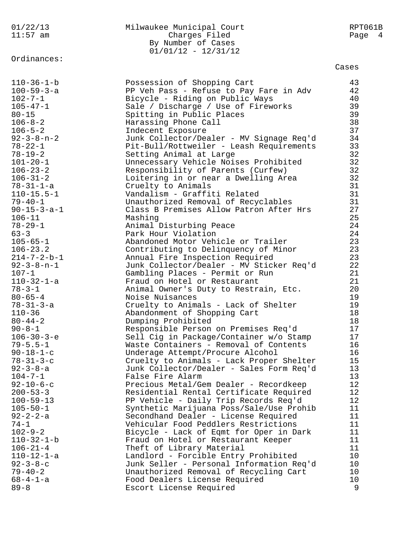11:57 am Charges Filed Page 4 By Number of Cases 01/01/12 - 12/31/12 Ordinances: Cases 110-36-1-b Possession of Shopping Cart 43 100-59-3-a PP Veh Pass - Refuse to Pay Fare in Adv 42 102-7-1 Bicycle - Riding on Public Ways 40 105-47-1 Sale / Discharge / Use of Fireworks 39 80-15 Spitting in Public Places 39 106-8-2 Harassing Phone Call 38 106-5-2 Indecent Exposure 37 92-3-8-n-2 Junk Collector/Dealer - MV Signage Req'd 34 78-22-1 Pit-Bull/Rottweiler - Leash Requirements 33 78-19-2 Setting Animal at Large 32 101-20-1 Unnecessary Vehicle Noises Prohibited 32 106-23-2 Responsibility of Parents (Curfew) 32 106-31-2 Loitering in or near a Dwelling Area 32 78-31-1-a Cruelty to Animals 31 110-15.5-1 Vandalism - Graffiti Related 31 79-40-1 Unauthorized Removal of Recyclables 31 90-15-3-a-1 Class B Premises Allow Patron After Hrs 27 106-11 Mashing 25 78-29-1 Animal Disturbing Peace 24 63-3 Park Hour Violation 24 105-65-1 Abandoned Motor Vehicle or Trailer 23 106-23.2 Contributing to Delinquency of Minor 23 214-7-2-b-1 Annual Fire Inspection Required 23 92-3-8-n-1 Junk Collector/Dealer - MV Sticker Req'd 22 107-1 Gambling Places - Permit or Run 21 110-32-1-a Fraud on Hotel or Restaurant 21 78-3-1 Animal Owner's Duty to Restrain, Etc. 20 80-65-4 Noise Nuisances 19 78-31-3-a Cruelty to Animals - Lack of Shelter 19 110-36 Abandonment of Shopping Cart 18 80-44-2 Dumping Prohibited 18 90-8-1 Responsible Person on Premises Req'd 17 106-30-3-e Sell Cig in Package/Container w/o Stamp 17 79-5.5-1 Waste Containers - Removal of Contents 16 90-18-1-c Underage Attempt/Procure Alcohol 16 78-31-3-c Cruelty to Animals - Lack Proper Shelter 15 92-3-8-a Junk Collector/Dealer - Sales Form Req'd 13 104-7-1 False Fire Alarm 13 92-10-6-c Precious Metal/Gem Dealer - Recordkeep 12 200-53-3 Residential Rental Certificate Required 12 100-59-13 PP Vehicle - Daily Trip Records Req'd 12 105-50-1 Synthetic Marijuana Poss/Sale/Use Prohib 11 92-2-2-a Secondhand Dealer - License Required 11 74-1 Vehicular Food Peddlers Restrictions 11 102-9-2 Bicycle - Lack of Eqmt for Oper in Dark 11 110-32-1-b Fraud on Hotel or Restaurant Keeper 11 106-21-4 Theft of Library Material 11 110-12-1-a Landlord - Forcible Entry Prohibited 10 92-3-8-c Junk Seller - Personal Information Req'd 10 79-40-2 Unauthorized Removal of Recycling Cart 10 68-4-1-a Food Dealers License Required 10 89-8 Escort License Required 9

01/22/13 Milwaukee Municipal Court RPT061B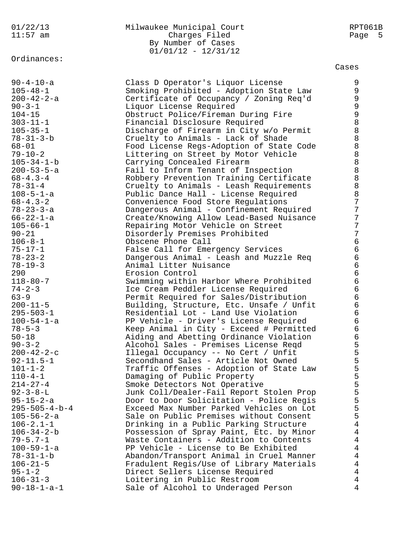Ordinances:

# 01/22/13 Milwaukee Municipal Court RPT061B 11:57 am Charges Filed Page 5 By Number of Cases 01/01/12 - 12/31/12

| $90 - 4 - 10 - a$       | Class D Operator's Liquor License        | 9              |
|-------------------------|------------------------------------------|----------------|
| $105 - 48 - 1$          | Smoking Prohibited - Adoption State Law  | 9              |
| $200 - 42 - 2 - a$      | Certificate of Occupancy / Zoning Req'd  | $\mathsf 9$    |
| $90 - 3 - 1$            | Liquor License Required                  | $\mathsf 9$    |
| $104 - 15$              | Obstruct Police/Fireman During Fire      | 9              |
| $303 - 11 - 1$          | Financial Disclosure Required            | 8              |
| $105 - 35 - 1$          |                                          | 8              |
|                         | Discharge of Firearm in City w/o Permit  | 8              |
| $78 - 31 - 3 - b$       | Cruelty to Animals - Lack of Shade       |                |
| $68 - 01$               | Food License Regs-Adoption of State Code | 8              |
| $79 - 10 - 2$           | Littering on Street by Motor Vehicle     | 8              |
| $105 - 34 - 1 - b$      | Carrying Concealed Firearm               | 8              |
| $200 - 53 - 5 - a$      | Fail to Inform Tenant of Inspection      | $\,8\,$        |
| $68 - 4.3 - 4$          | Robbery Prevention Training Certificate  | $\,8\,$        |
| $78 - 31 - 4$           | Cruelty to Animals - Leash Requirements  | 8              |
| $108 - 5 - 1 - a$       | Public Dance Hall - License Required     | $\,8\,$        |
| $68 - 4.3 - 2$          | Convenience Food Store Regulations       | 7              |
| $78 - 23 - 3 - a$       | Dangerous Animal - Confinement Required  | 7              |
| $66 - 22 - 1 - a$       | Create/Knowing Allow Lead-Based Nuisance | 7              |
| $105 - 66 - 1$          | Repairing Motor Vehicle on Street        | 7              |
| $90 - 21$               | Disorderly Premises Prohibited           | 7              |
| $106 - 8 - 1$           | Obscene Phone Call                       | $\epsilon$     |
| $75 - 17 - 1$           | False Call for Emergency Services        | $\epsilon$     |
| $78 - 23 - 2$           | Dangerous Animal - Leash and Muzzle Req  | $\epsilon$     |
| $78 - 19 - 3$           | Animal Litter Nuisance                   | $\epsilon$     |
| 290                     | Erosion Control                          | $\epsilon$     |
|                         |                                          | $\epsilon$     |
| $118 - 80 - 7$          | Swimming within Harbor Where Prohibited  | $\epsilon$     |
| $74 - 2 - 3$            | Ice Cream Peddler License Required       |                |
| $63 - 9$                | Permit Required for Sales/Distribution   | $\epsilon$     |
| $200 - 11 - 5$          | Building, Structure, Etc. Unsafe / Unfit | $\epsilon$     |
| $295 - 503 - 1$         | Residential Lot - Land Use Violation     | $\epsilon$     |
| $100 - 54 - 1 - a$      | PP Vehicle - Driver's License Required   | $\epsilon$     |
| $78 - 5 - 3$            | Keep Animal in City - Exceed # Permitted | $\epsilon$     |
| $50 - 18$               | Aiding and Abetting Ordinance Violation  | $\epsilon$     |
| $90 - 3 - 2$            | Alcohol Sales - Premises License Reqd    | 5              |
| $200 - 42 - 2 - c$      | Illegal Occupancy -- No Cert / Unfit     | 5              |
| $92 - 11.5 - 1$         | Secondhand Sales - Article Not Owned     | 5              |
| $101 - 1 - 2$           | Traffic Offenses - Adoption of State Law | ц              |
| $110 - 4 - 1$           | Damaging of Public Property              | 5              |
| $214 - 27 - 4$          | Smoke Detectors Not Operative            | 5              |
| $92 - 3 - 8 - L$        | Junk Coll/Dealer-Fail Report Stolen Prop | 5              |
| $95 - 15 - 2 - a$       | Door to Door Solicitation - Police Regis | 555            |
| $295 - 505 - 4 - b - 4$ | Exceed Max Number Parked Vehicles on Lot |                |
| $105 - 56 - 2 - a$      | Sale on Public Premises without Consent  |                |
| $106 - 2.1 - 1$         | Drinking in a Public Parking Structure   | $\overline{4}$ |
| $106 - 34 - 2 - b$      | Possession of Spray Paint, Etc. by Minor | $\overline{4}$ |
| $79 - 5.7 - 1$          | Waste Containers - Addition to Contents  | 4              |
| $100 - 59 - 1 - a$      | PP Vehicle - License to Be Exhibited     | $\overline{4}$ |
| $78 - 31 - 1 - b$       | Abandon/Transport Animal in Cruel Manner | $\overline{4}$ |
| $106 - 21 - 5$          | Fradulent Regis/Use of Library Materials | $\overline{4}$ |
| $95 - 1 - 2$            | Direct Sellers License Required          | $\overline{4}$ |
| $106 - 31 - 3$          | Loitering in Public Restroom             | 4              |
| $90 - 18 - 1 - a - 1$   | Sale of Alcohol to Underaged Person      | 4              |
|                         |                                          |                |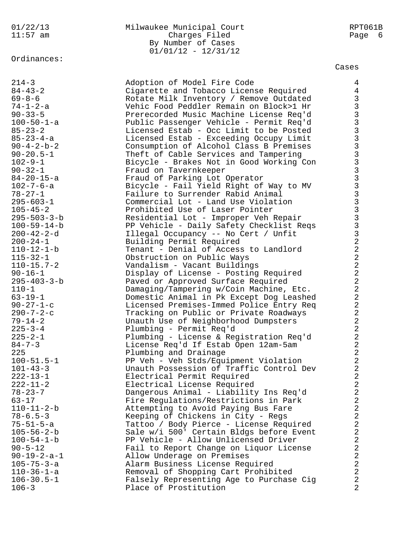# Ordinances:

# 01/22/13 Milwaukee Municipal Court RPT061B 11:57 am Charges Filed Page 6 By Number of Cases 01/01/12 - 12/31/12

| $214 - 3$             | Adoption of Model Fire Code              | $\overline{4}$          |
|-----------------------|------------------------------------------|-------------------------|
| $84 - 43 - 2$         | Cigarette and Tobacco License Required   | $\overline{4}$          |
| $69 - 8 - 6$          | Rotate Milk Inventory / Remove Outdated  | $\overline{3}$          |
|                       |                                          |                         |
| $74 - 1 - 2 - a$      | Vehic Food Peddler Remain on Block>1 Hr  | $\overline{3}$          |
| $90 - 33 - 5$         | Prerecorded Music Machine License Req'd  | $\overline{3}$          |
| $100 - 50 - 1 - a$    | Public Passenger Vehicle - Permit Req'd  | $\overline{3}$          |
| $85 - 23 - 2$         | Licensed Estab - Occ Limit to be Posted  | $\overline{3}$          |
| $85 - 23 - 4 - a$     | Licensed Estab - Exceeding Occupy Limit  | $\overline{3}$          |
| $90 - 4 - 2 - b - 2$  | Consumption of Alcohol Class B Premises  | $\overline{3}$          |
| $90 - 20.5 - 1$       | Theft of Cable Services and Tampering    | $\overline{3}$          |
| $102 - 9 - 1$         | Bicycle - Brakes Not in Good Working Con | $\overline{3}$          |
| $90 - 32 - 1$         | Fraud on Tavernkeeper                    |                         |
|                       |                                          |                         |
| $84 - 20 - 15 - a$    | Fraud of Parking Lot Operator            |                         |
| $102 - 7 - 6 - a$     | Bicycle - Fail Yield Right of Way to MV  |                         |
| $78 - 27 - 1$         | Failure to Surrender Rabid Animal        |                         |
| $295 - 603 - 1$       | Commercial Lot - Land Use Violation      |                         |
| $105 - 45 - 2$        | Prohibited Use of Laser Pointer          |                         |
| $295 - 503 - 3 - b$   | Residential Lot - Improper Veh Repair    |                         |
| $100 - 59 - 14 - b$   | PP Vehicle - Daily Safety Checklist Reqs | $\overline{\mathbf{3}}$ |
| $200 - 42 - 2 - d$    | Illegal Occupancy -- No Cert / Unfit     | $\overline{\mathbf{3}}$ |
| $200 - 24 - 1$        | Building Permit Required                 | $\overline{a}$          |
| $110 - 12 - 1 - b$    | Tenant - Denial of Access to Landlord    | $\overline{a}$          |
|                       |                                          | $\overline{a}$          |
| $115 - 32 - 1$        | Obstruction on Public Ways               |                         |
| $110 - 15.7 - 2$      | Vandalism - Vacant Buildings             | $\overline{a}$          |
| $90 - 16 - 1$         | Display of License - Posting Required    | $\overline{a}$          |
| $295 - 403 - 3 - b$   | Paved or Approved Surface Required       | $\overline{a}$          |
| $110 - 1$             | Damaging/Tampering w/Coin Machine, Etc.  | $\overline{a}$          |
| $63 - 19 - 1$         | Domestic Animal in Pk Except Dog Leashed | $\overline{a}$          |
| $90 - 27 - 1 - c$     | Licensed Premises-Immed Police Entry Req | $\overline{a}$          |
| $290 - 7 - 2 - c$     | Tracking on Public or Private Roadways   | $\overline{a}$          |
| $79 - 14 - 2$         | Unauth Use of Neighborhood Dumpsters     | $\overline{a}$          |
| $225 - 3 - 4$         | Plumbing - Permit Req'd                  | $\overline{a}$          |
| $225 - 2 - 1$         | Plumbing - License & Registration Req'd  | $\overline{a}$          |
| $84 - 7 - 3$          |                                          |                         |
|                       | License Req'd If Estab Open 12am-5am     | $\overline{a}$          |
| 225                   | Plumbing and Drainage                    | $\overline{\mathbf{c}}$ |
| $100 - 51.5 - 1$      | PP Veh - Veh Stds/Equipment Violation    | $\overline{a}$          |
| $101 - 43 - 3$        | Unauth Possession of Traffic Control Dev | $\overline{2}$          |
| $222 - 13 - 1$        | Electrical Permit Required               | 2                       |
| $222 - 11 - 2$        | Electrical License Required              | $\overline{a}$          |
| $78 - 23 - 7$         | Dangerous Animal - Liability Ins Req'd   | $\overline{a}$          |
| $63 - 17$             | Fire Regulations/Restrictions in Park    | 2                       |
| $110 - 11 - 2 - b$    | Attempting to Avoid Paying Bus Fare      | $\overline{a}$          |
| $78 - 6.5 - 3$        | Keeping of Chickens in City - Regs       | $\overline{a}$          |
| $75 - 51 - 5 - a$     | Tattoo / Body Pierce - License Required  | $\overline{a}$          |
| $105 - 56 - 2 - b$    | Sale w/i 500' Certain Bldgs before Event | $\overline{a}$          |
| $100 - 54 - 1 - b$    | PP Vehicle - Allow Unlicensed Driver     | $\overline{a}$          |
|                       |                                          |                         |
| $90 - 5 - 12$         | Fail to Report Change on Liquor License  | $\overline{a}$          |
| $90 - 19 - 2 - a - 1$ | Allow Underage on Premises               | $\overline{a}$          |
| $105 - 75 - 3 - a$    | Alarm Business License Required          | $\overline{a}$          |
| $110 - 36 - 1 - a$    | Removal of Shopping Cart Prohibited      | $\overline{a}$          |
| $106 - 30.5 - 1$      | Falsely Representing Age to Purchase Cig | $\overline{a}$          |
| $106 - 3$             | Place of Prostitution                    | 2                       |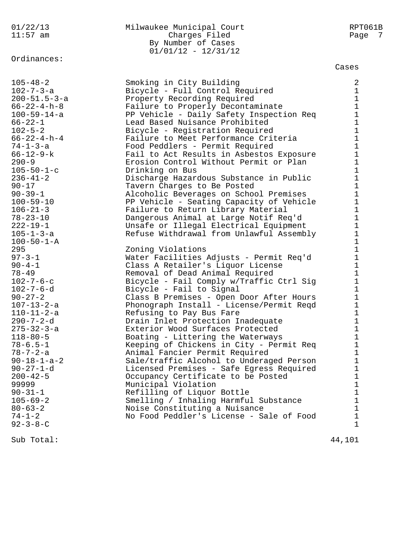# Ordinances:

## 01/22/13 Milwaukee Municipal Court RPT061B 11:57 am Charges Filed Page 7 By Number of Cases 01/01/12 - 12/31/12

#### Cases

| $236 - 41 - 2$<br>Discharge Hazardous Substance in Public<br>$90 - 17$<br>Tavern Charges to Be Posted<br>$90 - 39 - 1$<br>Alcoholic Beverages on School Premises<br>$100 - 59 - 10$<br>PP Vehicle - Seating Capacity of Vehicle<br>$106 - 21 - 3$<br>Failure to Return Library Material<br>$78 - 23 - 10$<br>Dangerous Animal at Large Notif Req'd<br>$222 - 19 - 1$<br>Unsafe or Illegal Electrical Equipment<br>$105 - 1 - 3 - a$<br>Refuse Withdrawal from Unlawful Assembly<br>$100 - 50 - 1 - A$<br>295<br>Zoning Violations | $\mathbf 1$<br>$\mathbf{1}$<br>$\mathbf{1}$<br>$\mathbf 1$<br>$1\,$<br>$\mathbf 1$<br>$\mathbf 1$<br>$\mathbf 1$ |
|-----------------------------------------------------------------------------------------------------------------------------------------------------------------------------------------------------------------------------------------------------------------------------------------------------------------------------------------------------------------------------------------------------------------------------------------------------------------------------------------------------------------------------------|------------------------------------------------------------------------------------------------------------------|
| $97 - 3 - 1$<br>Water Facilities Adjusts - Permit Req'd<br>$90 - 4 - 1$                                                                                                                                                                                                                                                                                                                                                                                                                                                           | $1\,$<br>$\mathbf{1}$                                                                                            |
| Class A Retailer's Liquor License<br>$78 - 49$<br>Removal of Dead Animal Required                                                                                                                                                                                                                                                                                                                                                                                                                                                 | $\mathbf{1}$                                                                                                     |
| $102 - 7 - 6 - c$<br>Bicycle - Fail Comply w/Traffic Ctrl Sig                                                                                                                                                                                                                                                                                                                                                                                                                                                                     | $\mathbf 1$                                                                                                      |
| $102 - 7 - 6 - d$<br>Bicycle - Fail to Signal                                                                                                                                                                                                                                                                                                                                                                                                                                                                                     | $\mathbf{1}$                                                                                                     |
| $90 - 27 - 2$<br>Class B Premises - Open Door After Hours                                                                                                                                                                                                                                                                                                                                                                                                                                                                         | $\mathbf{1}$                                                                                                     |
| Phonograph Install - License/Permit Reqd<br>$107 - 13 - 2 - a$<br>$110 - 11 - 2 - a$<br>Refusing to Pay Bus Fare                                                                                                                                                                                                                                                                                                                                                                                                                  | $\mathbf 1$<br>$1\,$                                                                                             |
| $290 - 7 - 2 - d$<br>Drain Inlet Protection Inadequate                                                                                                                                                                                                                                                                                                                                                                                                                                                                            | $\mathbf{1}$                                                                                                     |
| $275 - 32 - 3 - a$<br>Exterior Wood Surfaces Protected                                                                                                                                                                                                                                                                                                                                                                                                                                                                            | $\mathbf 1$                                                                                                      |
| Boating - Littering the Waterways<br>$118 - 80 - 5$                                                                                                                                                                                                                                                                                                                                                                                                                                                                               | $\mathbf{1}$                                                                                                     |
| $78 - 6.5 - 1$<br>Keeping of Chickens in City - Permit Req                                                                                                                                                                                                                                                                                                                                                                                                                                                                        | $\mathbf 1$                                                                                                      |
| $78 - 7 - 2 - a$<br>Animal Fancier Permit Required                                                                                                                                                                                                                                                                                                                                                                                                                                                                                | $\mathbf 1$                                                                                                      |
| $90 - 18 - 1 - a - 2$<br>Sale/traffic Alcohol to Underaged Person                                                                                                                                                                                                                                                                                                                                                                                                                                                                 | $\mathbf{1}$                                                                                                     |
| Licensed Premises - Safe Egress Required<br>$90 - 27 - 1 - d$                                                                                                                                                                                                                                                                                                                                                                                                                                                                     | $\mathbf 1$                                                                                                      |
| $200 - 42 - 5$<br>Occupancy Certificate to be Posted                                                                                                                                                                                                                                                                                                                                                                                                                                                                              | 1                                                                                                                |
| 99999<br>Municipal Violation                                                                                                                                                                                                                                                                                                                                                                                                                                                                                                      | $\mathbf{1}$                                                                                                     |
| Refilling of Liquor Bottle<br>$90 - 31 - 1$                                                                                                                                                                                                                                                                                                                                                                                                                                                                                       | $\mathbf 1$                                                                                                      |
| $105 - 69 - 2$<br>Smelling / Inhaling Harmful Substance<br>$80 - 63 - 2$<br>Noise Constituting a Nuisance                                                                                                                                                                                                                                                                                                                                                                                                                         | $\mathbf 1$<br>$\mathbf 1$                                                                                       |
| $74 - 1 - 2$<br>No Food Peddler's License - Sale of Food                                                                                                                                                                                                                                                                                                                                                                                                                                                                          | $\mathbf{1}$                                                                                                     |
| $92 - 3 - 8 - C$                                                                                                                                                                                                                                                                                                                                                                                                                                                                                                                  |                                                                                                                  |

Sub Total:  $44,101$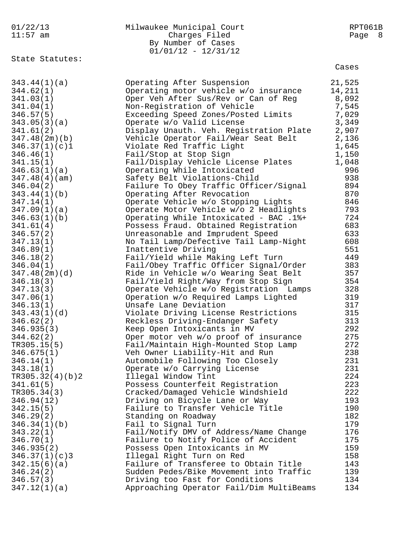|  |  | 01/22/13 |
|--|--|----------|
|  |  |          |

# Milwaukee Municipal Court **RPT061B** 11:57 am Charges Filed Page 8 By Number of Cases 01/01/12 - 12/31/12

State Statutes:

|                        |                                                                                  | Cases      |
|------------------------|----------------------------------------------------------------------------------|------------|
| 343.44(1)(a)           | Operating After Suspension                                                       | 21,525     |
| 344.62(1)              | Operating motor vehicle w/o insurance                                            | 14,211     |
| 341.03(1)              | Oper Veh After Sus/Rev or Can of Reg                                             | 8,092      |
| 341.04(1)              | Non-Registration of Vehicle                                                      | 7,545      |
| 346.57(5)              | Exceeding Speed Zones/Posted Limits                                              | 7,029      |
| 343.05(3)(a)           | Operate w/o Valid License                                                        | 3,349      |
| 341.61(2)              | Display Unauth. Veh. Registration Plate                                          | 2,907      |
| 347.48(2m)(b)          | Vehicle Operator Fail/Wear Seat Belt                                             | 2,136      |
| 346.37(1)(c)1          | Violate Red Traffic Light                                                        | 1,645      |
| 346.46(1)              | Fail/Stop at Stop Sign                                                           | 1,150      |
| 341.15(1)              | Fail/Display Vehicle License Plates                                              | 1,048      |
| 346.63(1)(a)           | Operating While Intoxicated                                                      | 996        |
| 347.48(4)(am)          | Safety Belt Violations-Child                                                     | 938        |
| 346.04(2)              | Failure To Obey Traffic Officer/Signal                                           | 894        |
| 343.44(1)(b)           | Operating After Revocation                                                       | 870        |
| 347.14(1)              | Operate Vehicle w/o Stopping Lights                                              | 846        |
| 347.09(1)(a)           | Operate Motor Vehicle w/o 2 Headlights                                           | 793        |
| 346.63(1)(b)           | Operating While Intoxicated - BAC .1%+                                           | 724        |
| 341.61(4)              | Possess Fraud. Obtained Registration                                             | 683        |
| 346.57(2)              | Unreasonable and Imprudent Speed                                                 | 633        |
| 347.13(1)              | No Tail Lamp/Defective Tail Lamp-Night                                           | 608        |
| 346.89(1)              | Inattentive Driving                                                              | 551        |
| 346.18(2)              | Fail/Yield while Making Left Turn                                                | 449        |
| 346.04(1)              | Fail/Obey Traffic Officer Signal/Order                                           | 383        |
| 347.48(2m)(d)          | Ride in Vehicle w/o Wearing Seat Belt                                            | 357        |
| 346.18(3)              | Fail/Yield Right/Way from Stop Sign                                              | 354        |
| 347.13(3)              | Operate Vehicle w/o Registration Lamps                                           | 328        |
| 347.06(1)              | Operation w/o Required Lamps Lighted                                             | 319        |
| 346.13(1)              | Unsafe Lane Deviation                                                            | 317        |
| 343.43(1)(d)           | Violate Driving License Restrictions                                             | 315        |
| 346.62(2)              | Reckless Driving-Endanger Safety                                                 | 313        |
| 346.935(3)             | Keep Open Intoxicants in MV                                                      | 292        |
| 344.62(2)              | Oper motor veh w/o proof of insurance                                            | 275        |
| TR305.15(5)            | Fail/Maintain High-Mounted Stop Lamp                                             | 272        |
| 346.675(1)             | Veh Owner Liability-Hit and Run                                                  | 238        |
| 346.14(1)              | Automobile Following Too Closely                                                 | 231        |
| 343.18(1)              | Operate w/o Carrying License                                                     | 231        |
| TR305.32(4)(b)2        | Illegal Window Tint                                                              | 224        |
| 341.61(5)              | Possess Counterfeit Registration                                                 | 223        |
| TR305.34(3)            | Cracked/Damaged Vehicle Windshield                                               | 222        |
| 346.94(12)             | Driving on Bicycle Lane or Way                                                   | 193        |
| 342.15(5)              | Failure to Transfer Vehicle Title                                                | 190        |
| 346.29(2)              | Standing on Roadway                                                              | 182        |
| 346.34(1)(b)           | Fail to Signal Turn                                                              | 179        |
| 343.22(1)              | Fail/Notify DMV of Address/Name Change                                           | 176        |
| 346.70(1)              | Failure to Notify Police of Accident                                             | 175        |
| 346.935(2)             | Possess Open Intoxicants in MV                                                   | 159        |
| 346.37(1)(c)3          | Illegal Right Turn on Red                                                        | 158        |
| 342.15(6)(a)           | Failure of Transferee to Obtain Title<br>Sudden Pedes/Bike Movement into Traffic | 143<br>139 |
| 346.24(2)<br>346.57(3) | Driving too Fast for Conditions                                                  | 134        |
| 347.12(1)(a)           | Approaching Operator Fail/Dim MultiBeams                                         | 134        |
|                        |                                                                                  |            |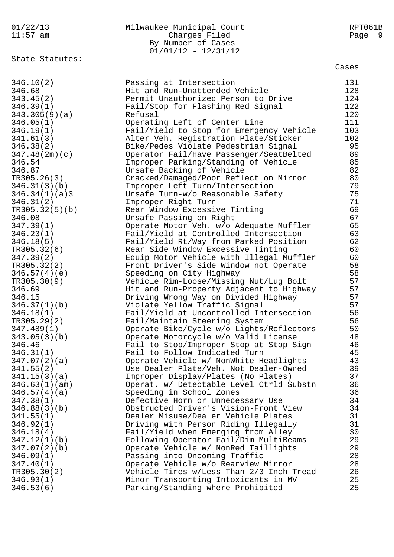01/22/13 Milwaukee Municipal Court RPT061B 11:57 am Charges Filed Page 9 By Number of Cases<br>01/01/12 - 12/31/12 01/01/12 - 12/31/12 State Statutes: Cases 346.10(2) Passing at Intersection 131 346.68 Hit and Run-Unattended Vehicle 128 343.45(2) Permit Unauthorized Person to Drive 124 346.39(1) Fail/Stop for Flashing Red Signal 122 343.305(9)(a) Refusal 120 346.05(1) Operating Left of Center Line 111 346.19(1) Fail/Yield to Stop for Emergency Vehicle 103 341.61(3) Alter Veh. Registration Plate/Sticker 102 346.38(2) Bike/Pedes Violate Pedestrian Signal 95 347.48(2m)(c) Operator Fail/Have Passenger/SeatBelted 89 346.54 Improper Parking/Standing of Vehicle 85 346.87 Unsafe Backing of Vehicle 82 TR305.26(3) Cracked/Damaged/Poor Reflect on Mirror 80 346.31(3)(b) Improper Left Turn/Intersection 79 346.34(1)(a)3 Unsafe Turn-w/o Reasonable Safety 75 346.31(2) Improper Right Turn 71 TR305.32(5)(b) Rear Window Excessive Tinting 69 346.08 Unsafe Passing on Right 67 347.39(1) Operate Motor Veh. w/o Adequate Muffler 65 346.23(1) Fail/Yield at Controlled Intersection 63 346.18(5) Fail/Yield Rt/Way from Parked Position 62 TR305.32(6) Rear Side Window Excessive Tinting 60 347.39(2) Equip Motor Vehicle with Illegal Muffler 60 TR305.32(2) Front Driver's Side Window not Operate 58 346.57(4)(e) Speeding on City Highway 58 TR305.30(9) Vehicle Rim-Loose/Missing Nut/Lug Bolt 57 346.69 Hit and Run-Property Adjacent to Highway 57 346.15 Driving Wrong Way on Divided Highway 57 346.37(1)(b) Violate Yellow Traffic Signal 57 346.18(1) Fail/Yield at Uncontrolled Intersection 56 TR305.29(2) Fail/Maintain Steering System 56 347.489(1) Operate Bike/Cycle w/o Lights/Reflectors 50 343.05(3)(b) Operate Motorcycle w/o Valid License 48 346.46 Fail to Stop/Improper Stop at Stop Sign 46 346.31(1) Fail to Follow Indicated Turn 45 347.07(2)(a) Operate Vehicle w/ NonWhite Headlights 43 341.55(2) Use Dealer Plate/Veh. Not Dealer-Owned 39 341.15(3)(a) Improper Display/Plates (No Plates) 37 346.63(1)(am) Operat. w/ Detectable Level Ctrld Substn 36 346.57(4)(a) Speeding in School Zones 36 347.38(1) Defective Horn or Unnecessary Use 34 346.88(3)(b) Obstructed Driver's Vision-Front View 34 341.55(1) Dealer Misuse/Dealer Vehicle Plates 31 346.92(1) Driving with Person Riding Illegally 31 346.18(4) Fail/Yield when Emerging from Alley 30 347.12(1)(b) Following Operator Fail/Dim MultiBeams 29 347.07(2)(b) Operate Vehicle w/ NonRed Taillights 29 346.09(1) Passing into Oncoming Traffic 28 347.40(1) Operate Vehicle w/o Rearview Mirror 28 TR305.30(2) Vehicle Tires w/Less Than 2/3 Inch Tread 26 346.93(1) Minor Transporting Intoxicants in MV 25 346.53(6) Parking/Standing where Prohibited 25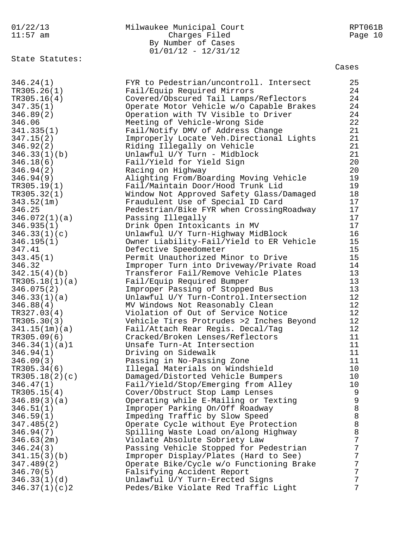| 01/22/13        | Milwaukee Municipal Court                | RPT061B |
|-----------------|------------------------------------------|---------|
| $11:57$ am      | Charges Filed                            | Page 10 |
|                 | By Number of Cases                       |         |
|                 | $01/01/12 - 12/31/12$                    |         |
| State Statutes: |                                          |         |
|                 |                                          | Cases   |
| 346.24(1)       | FYR to Pedestrian/uncontroll. Intersect  | 25      |
| TR305.26(1)     | Fail/Equip Required Mirrors              | 24      |
| TR305.16(4)     | Covered/Obscured Tail Lamps/Reflectors   | 24      |
| 347.35(1)       | Operate Motor Vehicle w/o Capable Brakes | 24      |
| 346.89(2)       | Operation with TV Visible to Driver      | 24      |
| 346.06          | Meeting of Vehicle-Wrong Side            | 22      |
| 341.335(1)      | Fail/Notify DMV of Address Change        | 21      |
| 347.15(2)       | Improperly Locate Veh.Directional Lights | 21      |
| 346.92(2)       | Riding Illegally on Vehicle              | 21      |
| 346.33(1)(b)    | Unlawful U/Y Turn - Midblock             | 21      |
| 346.18(6)       | Fail/Yield for Yield Sign                | 20      |
| 346.94(2)       | Racing on Highway                        | 20      |
| 346.94(9)       | Alighting From/Boarding Moving Vehicle   | 19      |
| TR305.19(1)     | Fail/Maintain Door/Hood Trunk Lid        | 19      |
| TR305.32(1)     | Window Not Approved Safety Glass/Damaged | 18      |
| 343.52(1m)      | Fraudulent Use of Special ID Card        | 17      |
| 346.25          | Pedestrian/Bike FYR when CrossingRoadway | 17      |
| 346.072(1)(a)   | Passing Illegally                        | 17      |
| 346.935(1)      | Drink Open Intoxicants in MV             | 17      |
| 346.33(1)(c)    | Unlawful U/Y Turn-Highway MidBlock       | 16      |
| 346.195(1)      | Owner Liability-Fail/Yield to ER Vehicle | 15      |
| 347.41          | Defective Speedometer                    | 15      |
| 343.45(1)       | Permit Unauthorized Minor to Drive       | 15      |
| 346.32          | Improper Turn into Driveway/Private Road | 14      |
| 342.15(4)(b)    | Transferor Fail/Remove Vehicle Plates    | 13      |
| TR305.18(1)(a)  | Fail/Equip Required Bumper               | 13      |
| 346.075(2)      | Improper Passing of Stopped Bus          | 13      |
| 346.33(1)(a)    | Unlawful U/Y Turn-Control. Intersection  | 12      |
| 346.88(4)       | MV Windows Not Reasonably Clean          | 12      |
| TR327.03(4)     | Violation of Out of Service Notice       | 12      |
| TR305.30(3)     | Vehicle Tires Protrudes >2 Inches Beyond | $12$    |
| 341.15(1m)(a)   | Fail/Attach Rear Regis. Decal/Tag        | 12      |
| TR305.09(6)     | Cracked/Broken Lenses/Reflectors         | 11      |
| 346.34(1)(a)1   | Unsafe Turn-At Intersection              | 11      |
| 346.94(1)       | Driving on Sidewalk                      | 11      |
| 346.09(3)       | Passing in No-Passing Zone               | 11      |
| TR305.34(6)     | Illegal Materials on Windshield          | 10      |
| TR305.18(2)(c)  | Damaged/Distorted Vehicle Bumpers        | 10      |
| 346.47(1)       | Fail/Yield/Stop/Emerging from Alley      | 10      |
| TR305.15(4)     | Cover/Obstruct Stop Lamp Lenses          | 9       |
| 346.89(3)(a)    | Operating while E-Mailing or Texting     | 9       |
| 346.51(1)       | Improper Parking On/Off Roadway          | $\,8\,$ |
| 346.59(1)       | Impeding Traffic by Slow Speed           | $\,8\,$ |
| 347.485(2)      | Operate Cycle without Eye Protection     | 8       |
| 346.94(7)       | Spilling Waste Load on/along Highway     | 8       |
| 346.63(2m)      | Violate Absolute Sobriety Law            | 7       |
| 346.24(3)       | Passing Vehicle Stopped for Pedestrian   | 7       |
| 341.15(3)(b)    | Improper Display/Plates (Hard to See)    | 7       |
| 347.489(2)      | Operate Bike/Cycle w/o Functioning Brake | 7       |
| 346.70(5)       | Falsifying Accident Report               | 7       |
| 346.33(1)(d)    | Unlawful U/Y Turn-Erected Signs          | 7       |
| 346.37(1)(c)2   | Pedes/Bike Violate Red Traffic Light     | 7       |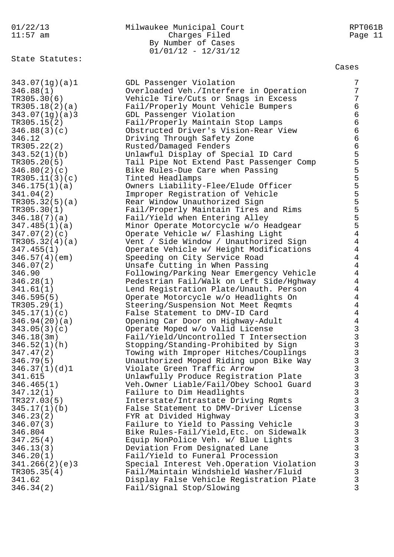# 01/22/13 Milwaukee Municipal Court RPT061B 11:57 am **Charges Filed** Page 11 By Number of Cases 01/01/12 - 12/31/12

State Statutes:

| 343.07(1g)(a)1 | GDL Passenger Violation                   | 7                                          |
|----------------|-------------------------------------------|--------------------------------------------|
| 346.88(1)      | Overloaded Veh./Interfere in Operation    | 7                                          |
| TR305.30(6)    | Vehicle Tire/Cuts or Snags in Excess      | 7                                          |
| TR305.18(2)(a) | Fail/Properly Mount Vehicle Bumpers       | $\epsilon$                                 |
| 343.07(1g)(a)3 | GDL Passenger Violation                   | $\epsilon$                                 |
| TR305.15(2)    | Fail/Properly Maintain Stop Lamps         | $\epsilon$                                 |
| 346.88(3)(c)   | Obstructed Driver's Vision-Rear View      | $\epsilon$                                 |
|                |                                           |                                            |
| 346.12         | Driving Through Safety Zone               | $\epsilon$                                 |
| TR305.22(2)    | Rusted/Damaged Fenders                    | $\epsilon$                                 |
| 343.52(1)(b)   | Unlawful Display of Special ID Card       | $\frac{5}{5}$                              |
| TR305.20(5)    | Tail Pipe Not Extend Past Passenger Comp  |                                            |
| 346.80(2)(c)   | Bike Rules-Due Care when Passing          | 5                                          |
| TR305.11(3)(c) | Tinted Headlamps                          | 55555                                      |
| 346.175(1)(a)  | Owners Liability-Flee/Elude Officer       |                                            |
| 341.04(2)      | Improper Registration of Vehicle          |                                            |
| TR305.32(5)(a) | Rear Window Unauthorized Sign             |                                            |
| TR305.30(1)    | Fail/Properly Maintain Tires and Rims     |                                            |
| 346.18(7)(a)   | Fail/Yield when Entering Alley            | 5                                          |
| 347.485(1)(a)  | Minor Operate Motorcycle w/o Headgear     | 5                                          |
| 347.07(2)(c)   | Operate Vehicle w/ Flashing Light         | $\overline{4}$                             |
| TR305.32(4)(a) | Vent / Side Window / Unauthorized Sign    | $\overline{4}$                             |
| 347.455(1)     | Operate Vehicle w/ Height Modifications   | $\overline{4}$                             |
| 346.57(4)(em)  | Speeding on City Service Road             | $\overline{4}$                             |
| 346.07(2)      | Unsafe Cutting in When Passing            | $\overline{4}$                             |
| 346.90         | Following/Parking Near Emergency Vehicle  | $\overline{4}$                             |
| 346.28(1)      | Pedestrian Fail/Walk on Left Side/Hghway  | $\overline{4}$                             |
| 341.61(1)      | Lend Registration Plate/Unauth. Person    | $\overline{4}$                             |
| 346.595(5)     | Operate Motorcycle w/o Headlights On      | $\overline{4}$                             |
| TR305.29(1)    | Steering/Suspension Not Meet Reqmts       | $\overline{4}$                             |
| 345.17(1)(c)   | False Statement to DMV-ID Card            | $\overline{4}$                             |
| 346.94(20)(a)  | Opening Car Door on Highway-Adult         | $\overline{4}$                             |
| 343.05(3)(c)   | Operate Moped w/o Valid License           |                                            |
| 346.18(3m)     | Fail/Yield/Uncontrolled T Intersection    | $\begin{array}{c} 3 \\ 3 \\ 3 \end{array}$ |
| 346.52(1)(h)   | Stopping/Standing-Prohibited by Sign      |                                            |
| 347.47(2)      | Towing with Improper Hitches/Couplings    |                                            |
| 346.79(5)      | Unauthorized Moped Riding upon Bike Way   | $\overline{3}$                             |
| 346.37(1)(d)1  | Violate Green Traffic Arrow               | $\mathfrak{Z}$                             |
| 341.615        | Unlawfully Produce Registration Plate     | 3                                          |
| 346.465(1)     | Veh.Owner Liable/Fail/Obey School Guard   |                                            |
| 347.12(1)      | Failure to Dim Headlights                 |                                            |
| TR327.03(5)    | Interstate/Intrastate Driving Rqmts       |                                            |
| 345.17(1)(b)   | False Statement to DMV-Driver License     |                                            |
| 346.23(2)      | FYR at Divided Highway                    |                                            |
| 346.07(3)      | Failure to Yield to Passing Vehicle       |                                            |
| 346.804        | Bike Rules-Fail/Yield, Etc. on Sidewalk   |                                            |
|                | Equip NonPolice Veh. w/ Blue Lights       |                                            |
| 347.25(4)      |                                           |                                            |
| 346.13(3)      | Deviation From Designated Lane            |                                            |
| 346.20(1)      | Fail/Yield to Funeral Procession          |                                            |
| 341.266(2)(e)3 | Special Interest Veh. Operation Violation |                                            |
| TR305.35(4)    | Fail/Maintain Windshield Washer/Fluid     | <b>SASS SASS SASS</b>                      |
| 341.62         | Display False Vehicle Registration Plate  |                                            |
| 346.34(2)      | Fail/Signal Stop/Slowing                  | 3                                          |
|                |                                           |                                            |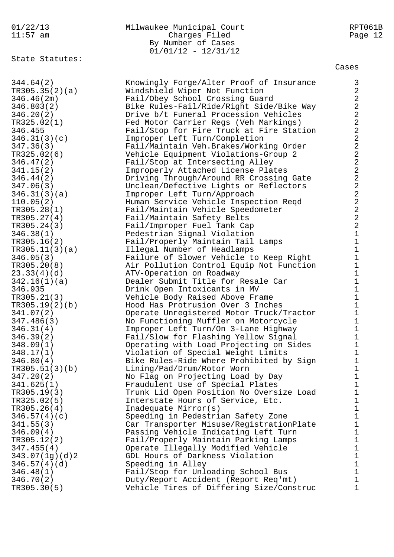# 01/22/13 Milwaukee Municipal Court RPT061B 11:57 am Charges Filed Page 12 Charges Filed<br>By Number of Cases 01/01/12 - 12/31/12

State Statutes:

Cases

344.64(2) Knowingly Forge/Alter Proof of Insurance 3 TR305.35(2)(a) Windshield Wiper Not Function 2 346.46(2m) Fail/Obey School Crossing Guard 2 346.803(2) Bike Rules-Fail/Ride/Right Side/Bike Way 2 346.20(2) Drive b/t Funeral Procession Vehicles 2 TR325.02(1) Fed Motor Carrier Regs (Veh Markings) 2 346.455 Fail/Stop for Fire Truck at Fire Station 2 346.31(3)(c) Improper Left Turn/Completion 2 347.36(3) Fail/Maintain Veh.Brakes/Working Order 2 TR325.02(6) Vehicle Equipment Violations-Group 2 2 346.47(2) Fail/Stop at Intersecting Alley 2 341.15(2) Improperly Attached License Plates 2 346.44(2) Driving Through/Around RR Crossing Gate 2 347.06(3) Unclean/Defective Lights or Reflectors 2 346.31(3)(a) Improper Left Turn/Approach 2 110.05(2) Human Service Vehicle Inspection Reqd 2 TR305.28(1) Fail/Maintain Vehicle Speedometer 2 TR305.27(4) Fail/Maintain Safety Belts 2 TR305.24(3) Fail/Improper Fuel Tank Cap 2 346.38(1) Pedestrian Signal Violation 1 TR305.16(2) Fail/Properly Maintain Tail Lamps 1 TR305.11(3)(a) Illegal Number of Headlamps 1 346.05(3) Failure of Slower Vehicle to Keep Right 1 TR305.20(8) Air Pollution Control Equip Not Function 1 23.33(4)(d) The ATV-Operation on Roadway 1 342.16(1)(a) Dealer Submit Title for Resale Car 1 346.935 Drink Open Intoxicants in MV 1 TR305.21(3) Vehicle Body Raised Above Frame 1 TR305.19(2)(b) Hood Has Protrusion Over 3 Inches 1 341.07(2) Operate Unregistered Motor Truck/Tractor 1 347.486(3) No Functioning Muffler on Motorcycle 1 346.31(4) Improper Left Turn/On 3-Lane Highway 1 346.39(2) Fail/Slow for Flashing Yellow Signal 1 348.09(1) Operating with Load Projecting on Sides 1 348.17(1) Violation of Special Weight Limits 1 346.80(4) Bike Rules-Ride Where Prohibited by Sign 1 TR305.51(3)(b) Lining/Pad/Drum/Rotor Worn 1 347.20(2) No Flag on Projecting Load by Day 1 341.625(1) Fraudulent Use of Special Plates 1 TR305.19(3) Trunk Lid Open Position No Oversize Load 1 TR325.02(5) Therstate Hours of Service, Etc. TR305.26(4) Thadequate Mirror(s) 1 346.57(4)(c) Speeding in Pedestrian Safety Zone 1 341.55(3) Car Transporter Misuse/RegistrationPlate 1 346.09(4) Passing Vehicle Indicating Left Turn 1 TR305.12(2) Fail/Properly Maintain Parking Lamps 1 347.455(4) Operate Illegally Modified Vehicle 1 343.07(1g)(d)2 GDL Hours of Darkness Violation 1 346.57(4)(d) Speeding in Alley 1 346.48(1) Fail/Stop for Unloading School Bus 1 346.70(2) Duty/Report Accident (Report Req'mt) 1 TR305.30(5) Vehicle Tires of Differing Size/Construc 1